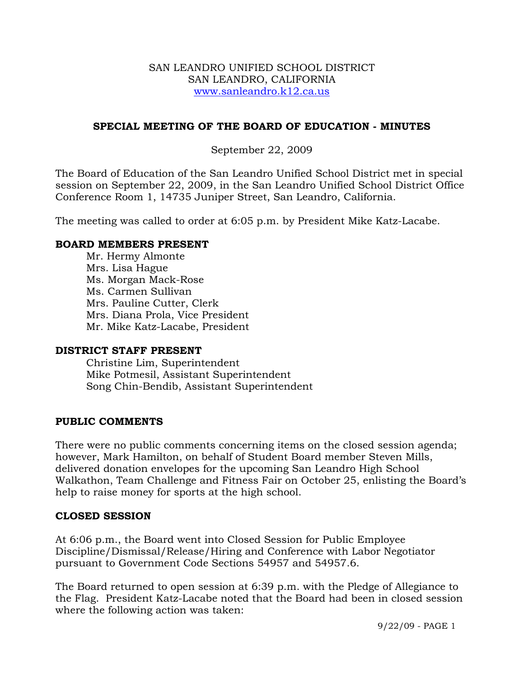#### SAN LEANDRO UNIFIED SCHOOL DISTRICT SAN LEANDRO, CALIFORNIA www.sanleandro.k12.ca.us

# **SPECIAL MEETING OF THE BOARD OF EDUCATION - MINUTES**

### September 22, 2009

The Board of Education of the San Leandro Unified School District met in special session on September 22, 2009, in the San Leandro Unified School District Office Conference Room 1, 14735 Juniper Street, San Leandro, California.

The meeting was called to order at 6:05 p.m. by President Mike Katz-Lacabe.

#### **BOARD MEMBERS PRESENT**

Mr. Hermy Almonte Mrs. Lisa Hague Ms. Morgan Mack-Rose Ms. Carmen Sullivan Mrs. Pauline Cutter, Clerk Mrs. Diana Prola, Vice President Mr. Mike Katz-Lacabe, President

#### **DISTRICT STAFF PRESENT**

Christine Lim, Superintendent Mike Potmesil, Assistant Superintendent Song Chin-Bendib, Assistant Superintendent

# **PUBLIC COMMENTS**

There were no public comments concerning items on the closed session agenda; however, Mark Hamilton, on behalf of Student Board member Steven Mills, delivered donation envelopes for the upcoming San Leandro High School Walkathon, Team Challenge and Fitness Fair on October 25, enlisting the Board's help to raise money for sports at the high school.

#### **CLOSED SESSION**

At 6:06 p.m., the Board went into Closed Session for Public Employee Discipline/Dismissal/Release/Hiring and Conference with Labor Negotiator pursuant to Government Code Sections 54957 and 54957.6.

The Board returned to open session at 6:39 p.m. with the Pledge of Allegiance to the Flag. President Katz-Lacabe noted that the Board had been in closed session where the following action was taken:

9/22/09 - PAGE 1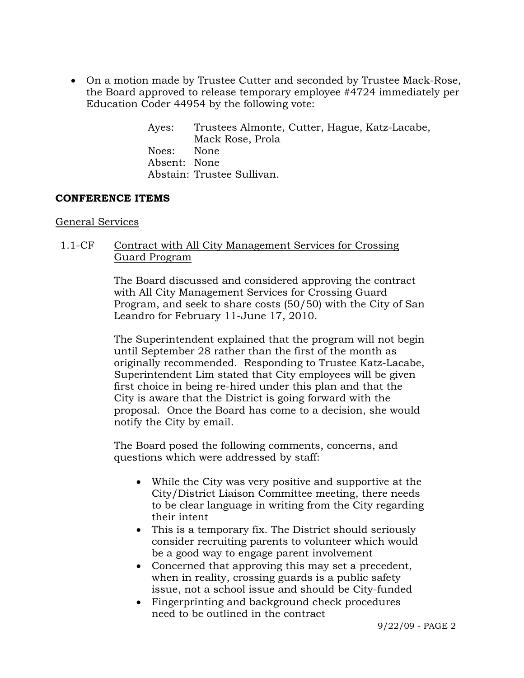• On a motion made by Trustee Cutter and seconded by Trustee Mack-Rose, the Board approved to release temporary employee #4724 immediately per Education Coder 44954 by the following vote:

> Ayes: Trustees Almonte, Cutter, Hague, Katz-Lacabe, Mack Rose, Prola Noes: None Absent: None Abstain: Trustee Sullivan.

### **CONFERENCE ITEMS**

### General Services

## 1.1-CF Contract with All City Management Services for Crossing Guard Program

The Board discussed and considered approving the contract with All City Management Services for Crossing Guard Program, and seek to share costs (50/50) with the City of San Leandro for February 11-June 17, 2010.

The Superintendent explained that the program will not begin until September 28 rather than the first of the month as originally recommended. Responding to Trustee Katz-Lacabe, Superintendent Lim stated that City employees will be given first choice in being re-hired under this plan and that the City is aware that the District is going forward with the proposal. Once the Board has come to a decision, she would notify the City by email.

The Board posed the following comments, concerns, and questions which were addressed by staff:

- While the City was very positive and supportive at the City/District Liaison Committee meeting, there needs to be clear language in writing from the City regarding their intent
- This is a temporary fix. The District should seriously consider recruiting parents to volunteer which would be a good way to engage parent involvement
- Concerned that approving this may set a precedent, when in reality, crossing guards is a public safety issue, not a school issue and should be City-funded
- Fingerprinting and background check procedures need to be outlined in the contract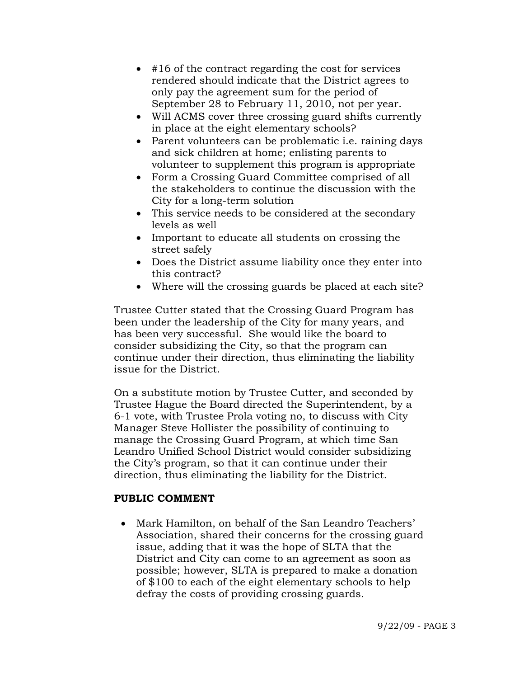- #16 of the contract regarding the cost for services rendered should indicate that the District agrees to only pay the agreement sum for the period of September 28 to February 11, 2010, not per year.
- Will ACMS cover three crossing guard shifts currently in place at the eight elementary schools?
- Parent volunteers can be problematic i.e. raining days and sick children at home; enlisting parents to volunteer to supplement this program is appropriate
- Form a Crossing Guard Committee comprised of all the stakeholders to continue the discussion with the City for a long-term solution
- This service needs to be considered at the secondary levels as well
- Important to educate all students on crossing the street safely
- Does the District assume liability once they enter into this contract?
- Where will the crossing guards be placed at each site?

Trustee Cutter stated that the Crossing Guard Program has been under the leadership of the City for many years, and has been very successful. She would like the board to consider subsidizing the City, so that the program can continue under their direction, thus eliminating the liability issue for the District.

On a substitute motion by Trustee Cutter, and seconded by Trustee Hague the Board directed the Superintendent, by a 6-1 vote, with Trustee Prola voting no, to discuss with City Manager Steve Hollister the possibility of continuing to manage the Crossing Guard Program, at which time San Leandro Unified School District would consider subsidizing the City's program, so that it can continue under their direction, thus eliminating the liability for the District.

# **PUBLIC COMMENT**

• Mark Hamilton, on behalf of the San Leandro Teachers' Association, shared their concerns for the crossing guard issue, adding that it was the hope of SLTA that the District and City can come to an agreement as soon as possible; however, SLTA is prepared to make a donation of \$100 to each of the eight elementary schools to help defray the costs of providing crossing guards.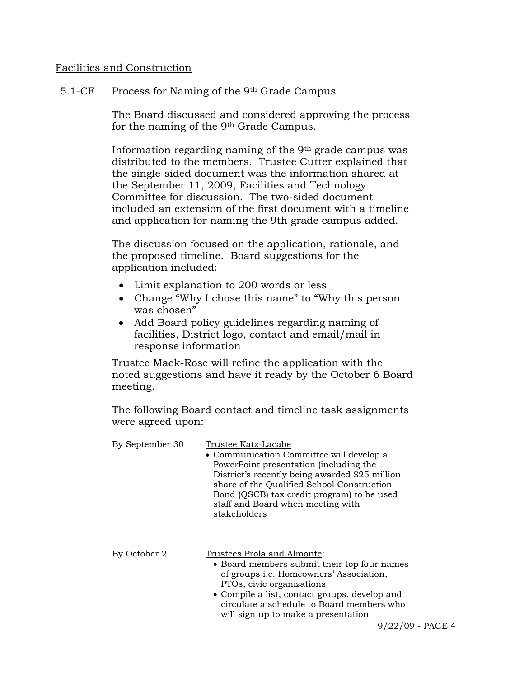#### Facilities and Construction

### 5.1-CF Process for Naming of the  $9th$  Grade Campus

The Board discussed and considered approving the process for the naming of the 9th Grade Campus.

Information regarding naming of the 9th grade campus was distributed to the members. Trustee Cutter explained that the single-sided document was the information shared at the September 11, 2009, Facilities and Technology Committee for discussion. The two-sided document included an extension of the first document with a timeline and application for naming the 9th grade campus added.

The discussion focused on the application, rationale, and the proposed timeline. Board suggestions for the application included:

- Limit explanation to 200 words or less
- Change "Why I chose this name" to "Why this person was chosen"
- Add Board policy guidelines regarding naming of facilities, District logo, contact and email/mail in response information

Trustee Mack-Rose will refine the application with the noted suggestions and have it ready by the October 6 Board meeting.

The following Board contact and timeline task assignments were agreed upon:

| By September 30 | Trustee Katz-Lacabe                                                                                                                                                                                                                                                                            |  |
|-----------------|------------------------------------------------------------------------------------------------------------------------------------------------------------------------------------------------------------------------------------------------------------------------------------------------|--|
|                 | • Communication Committee will develop a<br>PowerPoint presentation (including the<br>District's recently being awarded \$25 million<br>share of the Qualified School Construction<br>Bond (QSCB) tax credit program) to be used<br>staff and Board when meeting with<br>stakeholders          |  |
| By October 2    | Trustees Prola and Almonte:<br>• Board members submit their top four names<br>of groups <i>i.e.</i> Homeowners' Association,<br>PTOs, civic organizations<br>• Compile a list, contact groups, develop and<br>circulate a schedule to Board members who<br>will sign up to make a presentation |  |
|                 | 9/22/09                                                                                                                                                                                                                                                                                        |  |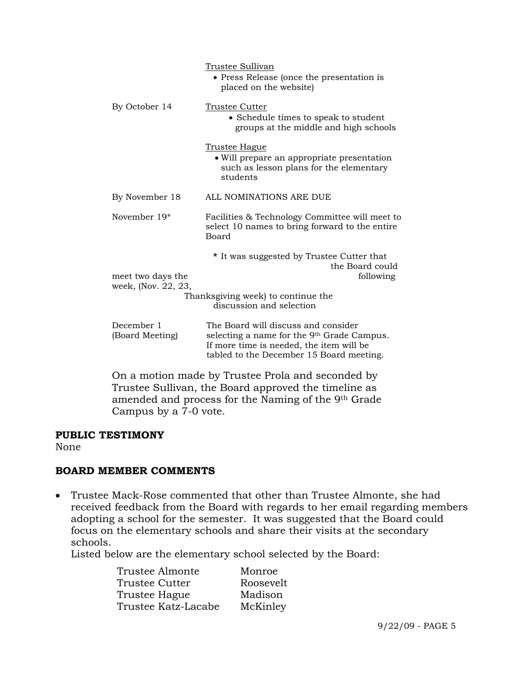|                                                                                                           | Trustee Sullivan<br>• Press Release (once the presentation is<br>placed on the website)                                                                                               |
|-----------------------------------------------------------------------------------------------------------|---------------------------------------------------------------------------------------------------------------------------------------------------------------------------------------|
| By October 14                                                                                             | <b>Trustee Cutter</b><br>• Schedule times to speak to student<br>groups at the middle and high schools                                                                                |
|                                                                                                           | <u>Trustee Hague</u><br>• Will prepare an appropriate presentation<br>such as lesson plans for the elementary<br>students                                                             |
| By November 18                                                                                            | ALL NOMINATIONS ARE DUE                                                                                                                                                               |
| November 19 <sup>*</sup>                                                                                  | Facilities & Technology Committee will meet to<br>select 10 names to bring forward to the entire<br>Board                                                                             |
| meet two days the                                                                                         | * It was suggested by Trustee Cutter that<br>the Board could<br>following                                                                                                             |
| week, (Nov. 22, 23,                                                                                       | Thanksgiving week) to continue the<br>discussion and selection                                                                                                                        |
| December 1<br>(Board Meeting)                                                                             | The Board will discuss and consider<br>selecting a name for the 9 <sup>th</sup> Grade Campus.<br>If more time is needed, the item will be<br>tabled to the December 15 Board meeting. |
| On a motion made by Trustee Prola and seconded by<br>Trustee Sullivan, the Board approved the timeline as |                                                                                                                                                                                       |

amended and process for the Naming of the 9th Grade Campus by a 7-0 vote.

## **PUBLIC TESTIMONY**

None

# **BOARD MEMBER COMMENTS**

• Trustee Mack-Rose commented that other than Trustee Almonte, she had received feedback from the Board with regards to her email regarding members adopting a school for the semester. It was suggested that the Board could focus on the elementary schools and share their visits at the secondary schools.

Listed below are the elementary school selected by the Board:

| Trustee Almonte       | Monroe    |
|-----------------------|-----------|
| <b>Trustee Cutter</b> | Roosevelt |
| Trustee Hague         | Madison   |
| Trustee Katz-Lacabe   | McKinley  |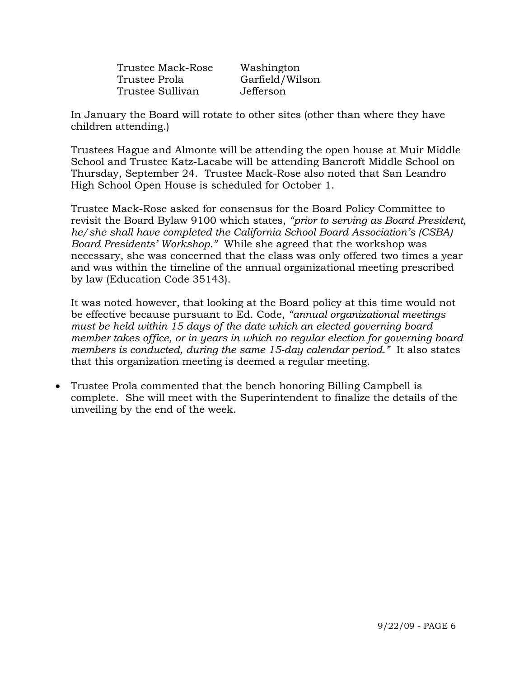|               | Trustee Mack-Rose |
|---------------|-------------------|
| Trustee Prola |                   |
|               | Trustee Sullivan  |

Washington Garfield/Wilson Jefferson

In January the Board will rotate to other sites (other than where they have children attending.)

Trustees Hague and Almonte will be attending the open house at Muir Middle School and Trustee Katz-Lacabe will be attending Bancroft Middle School on Thursday, September 24. Trustee Mack-Rose also noted that San Leandro High School Open House is scheduled for October 1.

Trustee Mack-Rose asked for consensus for the Board Policy Committee to revisit the Board Bylaw 9100 which states, *"prior to serving as Board President, he/she shall have completed the California School Board Association's (CSBA) Board Presidents' Workshop."* While she agreed that the workshop was necessary, she was concerned that the class was only offered two times a year and was within the timeline of the annual organizational meeting prescribed by law (Education Code 35143).

It was noted however, that looking at the Board policy at this time would not be effective because pursuant to Ed. Code, *"annual organizational meetings must be held within 15 days of the date which an elected governing board member takes office, or in years in which no regular election for governing board members is conducted, during the same 15-day calendar period."* It also states that this organization meeting is deemed a regular meeting.

• Trustee Prola commented that the bench honoring Billing Campbell is complete. She will meet with the Superintendent to finalize the details of the unveiling by the end of the week.